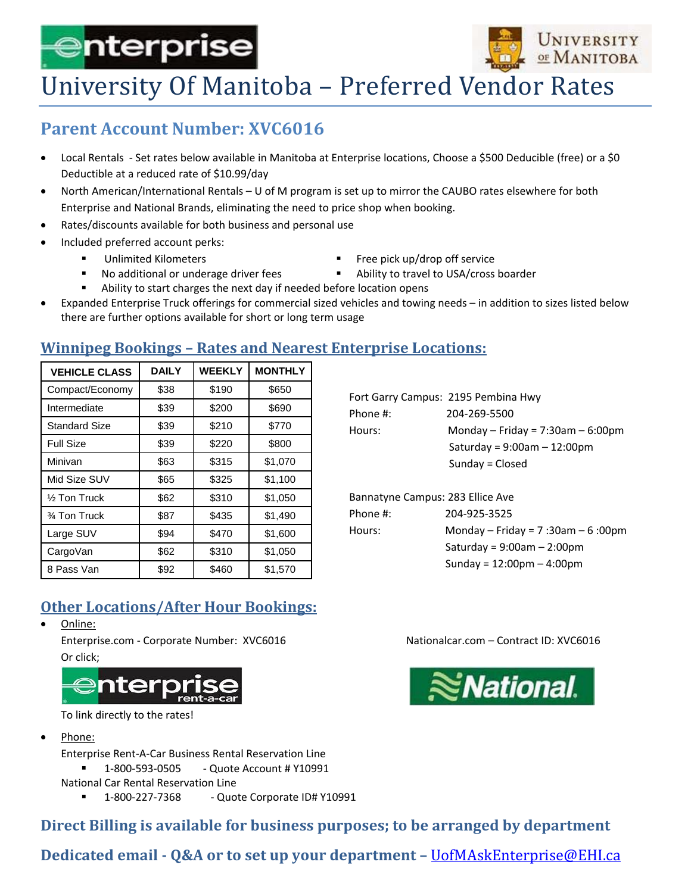# ⊜nterprise



## University Of Manitoba - Preferred Vendor Rates

### **Parent Account Number: XVC6016**

- Local Rentals Set rates below available in Manitoba at Enterprise locations, Choose a \$500 Deducible (free) or a \$0 Deductible at a reduced rate of \$10.99/day
- North American/International Rentals U of M program is set up to mirror the CAUBO rates elsewhere for both Enterprise and National Brands, eliminating the need to price shop when booking.
- Rates/discounts available for both business and personal use
- Included preferred account perks:
	- Unlimited Kilometers **Exercise 2018** Tree pick up/drop off service
	- No additional or underage driver fees **Ability to travel to USA/cross boarder**
- -
	- Ability to start charges the next day if needed before location opens
- Expanded Enterprise Truck offerings for commercial sized vehicles and towing needs in addition to sizes listed below there are further options available for short or long term usage

#### **Winnipeg Bookings – Rates and Nearest Enterprise Locations:**

| <b>VEHICLE CLASS</b>    | <b>DAILY</b> | <b>WEEKLY</b> | <b>MONTHLY</b> |
|-------------------------|--------------|---------------|----------------|
| Compact/Economy         | \$38         | \$190         | \$650          |
| Intermediate            | \$39         | \$200         | \$690          |
| <b>Standard Size</b>    | \$39         | \$210         | \$770          |
| <b>Full Size</b>        | \$39         | \$220         | \$800          |
| Minivan                 | \$63         | \$315         | \$1,070        |
| Mid Size SUV            | \$65         | \$325         | \$1,100        |
| $\frac{1}{2}$ Ton Truck | \$62         | \$310         | \$1,050        |
| 3⁄4 Ton Truck           | \$87         | \$435         | \$1,490        |
| Large SUV               | \$94         | \$470         | \$1,600        |
| CargoVan                | \$62         | \$310         | \$1,050        |
| 8 Pass Van              | \$92         | \$460         | \$1,570        |

#### Fort Garry Campus: 2195 Pembina Hwy Phone #: 204-269-5500 Hours:  $Monday - Friday = 7:30am - 6:00pm$  Saturday = 9:00am – 12:00pm Sunday = Closed

| Bannatyne Campus: 283 Ellice Ave |                                             |
|----------------------------------|---------------------------------------------|
| Phone #:                         | 204-925-3525                                |
| Hours:                           | Monday – Friday = 7:30am – 6:00pm           |
|                                  | Saturday = $9:00$ am - 2:00pm               |
|                                  | Sunday = $12:00 \text{pm} - 4:00 \text{pm}$ |
|                                  |                                             |

#### **Other Locations/After Hour Bookings:**

Online:

Enterprise.com ‐ Corporate Number: XVC6016 Nationalcar.com – Contract ID: XVC6016 Or click;



To link directly to the rates!

Phone:

Enterprise Rent‐A‐Car Business Rental Reservation Line 1‐800‐593‐0505 ‐ Quote Account # Y10991 National Car Rental Reservation Line

1‐800‐227‐7368 ‐ Quote Corporate ID# Y10991

**Direct Billing is available for business purposes; to be arranged by department**

**Dedicated email ‐ Q&A or to set up your department –** UofMAskEnterprise@EHI.ca